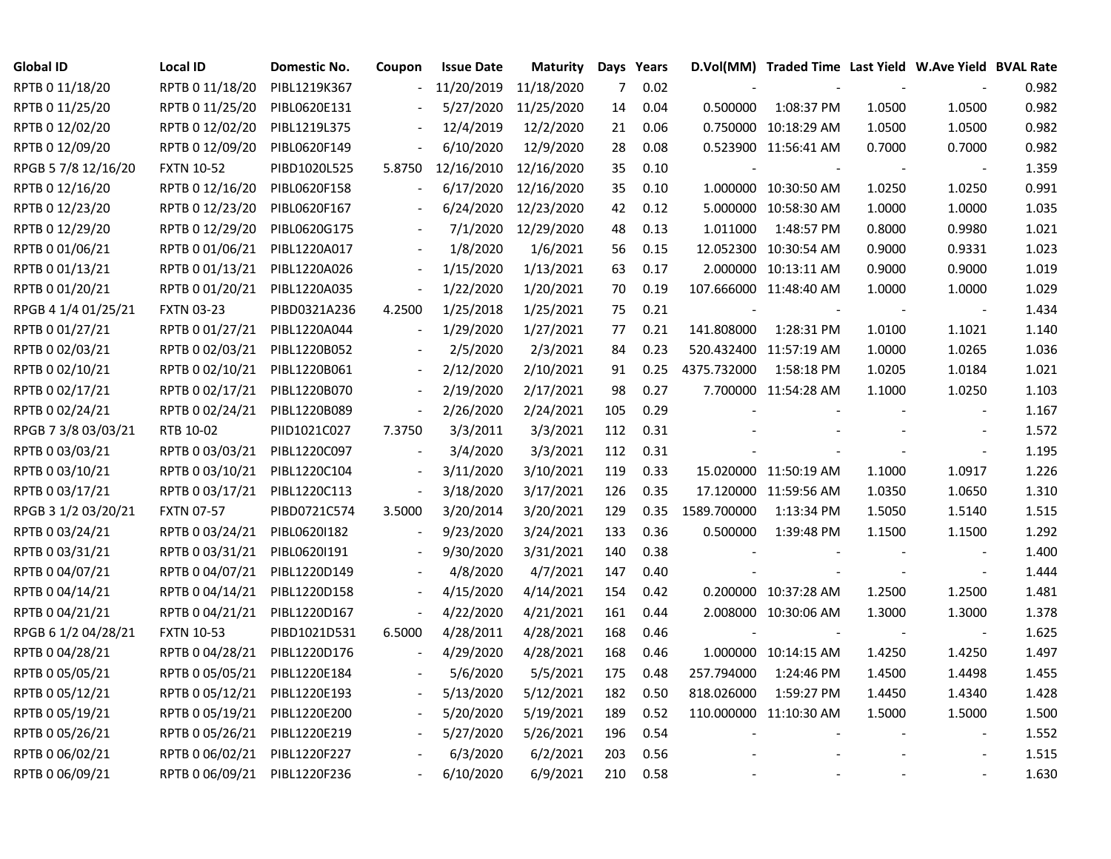| <b>Global ID</b>    | Local ID          | Domestic No. | Coupon                   | <b>Issue Date</b> | Maturity   |                | Days Years |                          | D.Vol(MM) Traded Time Last Yield W.Ave Yield BVAL Rate |        |                          |       |
|---------------------|-------------------|--------------|--------------------------|-------------------|------------|----------------|------------|--------------------------|--------------------------------------------------------|--------|--------------------------|-------|
| RPTB 0 11/18/20     | RPTB 0 11/18/20   | PIBL1219K367 |                          | 11/20/2019        | 11/18/2020 | $\overline{7}$ | 0.02       |                          |                                                        |        |                          | 0.982 |
| RPTB 0 11/25/20     | RPTB 0 11/25/20   | PIBL0620E131 |                          | 5/27/2020         | 11/25/2020 | 14             | 0.04       | 0.500000                 | 1:08:37 PM                                             | 1.0500 | 1.0500                   | 0.982 |
| RPTB 0 12/02/20     | RPTB 0 12/02/20   | PIBL1219L375 |                          | 12/4/2019         | 12/2/2020  | 21             | 0.06       |                          | 0.750000 10:18:29 AM                                   | 1.0500 | 1.0500                   | 0.982 |
| RPTB 0 12/09/20     | RPTB 0 12/09/20   | PIBL0620F149 |                          | 6/10/2020         | 12/9/2020  | 28             | 0.08       |                          | 0.523900 11:56:41 AM                                   | 0.7000 | 0.7000                   | 0.982 |
| RPGB 5 7/8 12/16/20 | <b>FXTN 10-52</b> | PIBD1020L525 | 5.8750                   | 12/16/2010        | 12/16/2020 | 35             | 0.10       |                          |                                                        |        | $\blacksquare$           | 1.359 |
| RPTB 0 12/16/20     | RPTB 0 12/16/20   | PIBL0620F158 | $\blacksquare$           | 6/17/2020         | 12/16/2020 | 35             | 0.10       |                          | 1.000000 10:30:50 AM                                   | 1.0250 | 1.0250                   | 0.991 |
| RPTB 0 12/23/20     | RPTB 0 12/23/20   | PIBL0620F167 |                          | 6/24/2020         | 12/23/2020 | 42             | 0.12       |                          | 5.000000 10:58:30 AM                                   | 1.0000 | 1.0000                   | 1.035 |
| RPTB 0 12/29/20     | RPTB 0 12/29/20   | PIBL0620G175 |                          | 7/1/2020          | 12/29/2020 | 48             | 0.13       | 1.011000                 | 1:48:57 PM                                             | 0.8000 | 0.9980                   | 1.021 |
| RPTB 0 01/06/21     | RPTB 0 01/06/21   | PIBL1220A017 |                          | 1/8/2020          | 1/6/2021   | 56             | 0.15       |                          | 12.052300 10:30:54 AM                                  | 0.9000 | 0.9331                   | 1.023 |
| RPTB 0 01/13/21     | RPTB 0 01/13/21   | PIBL1220A026 |                          | 1/15/2020         | 1/13/2021  | 63             | 0.17       |                          | 2.000000 10:13:11 AM                                   | 0.9000 | 0.9000                   | 1.019 |
| RPTB 0 01/20/21     | RPTB 0 01/20/21   | PIBL1220A035 |                          | 1/22/2020         | 1/20/2021  | 70             | 0.19       |                          | 107.666000 11:48:40 AM                                 | 1.0000 | 1.0000                   | 1.029 |
| RPGB 4 1/4 01/25/21 | <b>FXTN 03-23</b> | PIBD0321A236 | 4.2500                   | 1/25/2018         | 1/25/2021  | 75             | 0.21       | $\overline{\phantom{a}}$ |                                                        |        | $\blacksquare$           | 1.434 |
| RPTB 0 01/27/21     | RPTB 0 01/27/21   | PIBL1220A044 |                          | 1/29/2020         | 1/27/2021  | 77             | 0.21       | 141.808000               | 1:28:31 PM                                             | 1.0100 | 1.1021                   | 1.140 |
| RPTB 0 02/03/21     | RPTB 0 02/03/21   | PIBL1220B052 |                          | 2/5/2020          | 2/3/2021   | 84             | 0.23       |                          | 520.432400 11:57:19 AM                                 | 1.0000 | 1.0265                   | 1.036 |
| RPTB 0 02/10/21     | RPTB 0 02/10/21   | PIBL1220B061 |                          | 2/12/2020         | 2/10/2021  | 91             | 0.25       | 4375.732000              | 1:58:18 PM                                             | 1.0205 | 1.0184                   | 1.021 |
| RPTB 0 02/17/21     | RPTB 0 02/17/21   | PIBL1220B070 |                          | 2/19/2020         | 2/17/2021  | 98             | 0.27       |                          | 7.700000 11:54:28 AM                                   | 1.1000 | 1.0250                   | 1.103 |
| RPTB 0 02/24/21     | RPTB 0 02/24/21   | PIBL1220B089 | $\blacksquare$           | 2/26/2020         | 2/24/2021  | 105            | 0.29       |                          |                                                        |        | $\overline{\phantom{a}}$ | 1.167 |
| RPGB 7 3/8 03/03/21 | RTB 10-02         | PIID1021C027 | 7.3750                   | 3/3/2011          | 3/3/2021   | 112            | 0.31       |                          |                                                        |        | $\sim$                   | 1.572 |
| RPTB 0 03/03/21     | RPTB 0 03/03/21   | PIBL1220C097 | $\sim$                   | 3/4/2020          | 3/3/2021   | 112            | 0.31       |                          |                                                        |        | $\blacksquare$           | 1.195 |
| RPTB 0 03/10/21     | RPTB 0 03/10/21   | PIBL1220C104 | $\overline{\phantom{a}}$ | 3/11/2020         | 3/10/2021  | 119            | 0.33       |                          | 15.020000 11:50:19 AM                                  | 1.1000 | 1.0917                   | 1.226 |
| RPTB 0 03/17/21     | RPTB 0 03/17/21   | PIBL1220C113 | $\bar{\phantom{a}}$      | 3/18/2020         | 3/17/2021  | 126            | 0.35       |                          | 17.120000 11:59:56 AM                                  | 1.0350 | 1.0650                   | 1.310 |
| RPGB 3 1/2 03/20/21 | <b>FXTN 07-57</b> | PIBD0721C574 | 3.5000                   | 3/20/2014         | 3/20/2021  | 129            | 0.35       | 1589.700000              | 1:13:34 PM                                             | 1.5050 | 1.5140                   | 1.515 |
| RPTB 0 03/24/21     | RPTB 0 03/24/21   | PIBL0620I182 |                          | 9/23/2020         | 3/24/2021  | 133            | 0.36       | 0.500000                 | 1:39:48 PM                                             | 1.1500 | 1.1500                   | 1.292 |
| RPTB 0 03/31/21     | RPTB 0 03/31/21   | PIBL06201191 |                          | 9/30/2020         | 3/31/2021  | 140            | 0.38       |                          |                                                        |        | $\sim$                   | 1.400 |
| RPTB 0 04/07/21     | RPTB 0 04/07/21   | PIBL1220D149 |                          | 4/8/2020          | 4/7/2021   | 147            | 0.40       |                          |                                                        |        | $\sim$                   | 1.444 |
| RPTB 0 04/14/21     | RPTB 0 04/14/21   | PIBL1220D158 |                          | 4/15/2020         | 4/14/2021  | 154            | 0.42       |                          | 0.200000 10:37:28 AM                                   | 1.2500 | 1.2500                   | 1.481 |
| RPTB 0 04/21/21     | RPTB 0 04/21/21   | PIBL1220D167 | $\blacksquare$           | 4/22/2020         | 4/21/2021  | 161            | 0.44       |                          | 2.008000 10:30:06 AM                                   | 1.3000 | 1.3000                   | 1.378 |
| RPGB 6 1/2 04/28/21 | <b>FXTN 10-53</b> | PIBD1021D531 | 6.5000                   | 4/28/2011         | 4/28/2021  | 168            | 0.46       |                          |                                                        |        | $\overline{\phantom{a}}$ | 1.625 |
| RPTB 0 04/28/21     | RPTB 0 04/28/21   | PIBL1220D176 |                          | 4/29/2020         | 4/28/2021  | 168            | 0.46       |                          | 1.000000 10:14:15 AM                                   | 1.4250 | 1.4250                   | 1.497 |
| RPTB 0 05/05/21     | RPTB 0 05/05/21   | PIBL1220E184 |                          | 5/6/2020          | 5/5/2021   | 175            | 0.48       | 257.794000               | 1:24:46 PM                                             | 1.4500 | 1.4498                   | 1.455 |
| RPTB 0 05/12/21     | RPTB 0 05/12/21   | PIBL1220E193 |                          | 5/13/2020         | 5/12/2021  | 182            | 0.50       | 818.026000               | 1:59:27 PM                                             | 1.4450 | 1.4340                   | 1.428 |
| RPTB 0 05/19/21     | RPTB 0 05/19/21   | PIBL1220E200 | $\blacksquare$           | 5/20/2020         | 5/19/2021  | 189            | 0.52       |                          | 110.000000 11:10:30 AM                                 | 1.5000 | 1.5000                   | 1.500 |
| RPTB 0 05/26/21     | RPTB 0 05/26/21   | PIBL1220E219 |                          | 5/27/2020         | 5/26/2021  | 196            | 0.54       |                          |                                                        |        | $\blacksquare$           | 1.552 |
| RPTB 0 06/02/21     | RPTB 0 06/02/21   | PIBL1220F227 |                          | 6/3/2020          | 6/2/2021   | 203            | 0.56       |                          |                                                        |        |                          | 1.515 |
| RPTB 0 06/09/21     | RPTB 0 06/09/21   | PIBL1220F236 |                          | 6/10/2020         | 6/9/2021   | 210            | 0.58       |                          |                                                        |        |                          | 1.630 |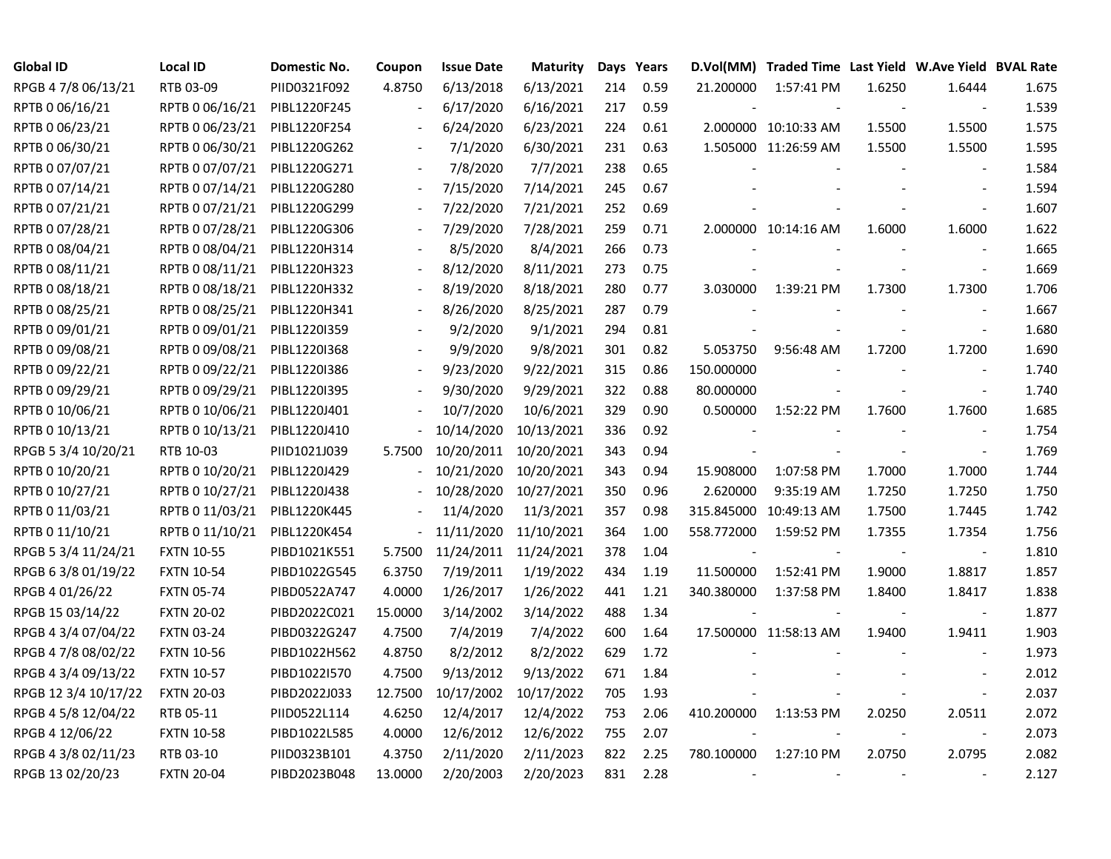| <b>Global ID</b>     | Local ID                     | Domestic No. | Coupon         | <b>Issue Date</b>     | <b>Maturity</b> |     | Days Years |            | D.Vol(MM) Traded Time Last Yield W.Ave Yield BVAL Rate |        |                          |       |
|----------------------|------------------------------|--------------|----------------|-----------------------|-----------------|-----|------------|------------|--------------------------------------------------------|--------|--------------------------|-------|
| RPGB 4 7/8 06/13/21  | RTB 03-09                    | PIID0321F092 | 4.8750         | 6/13/2018             | 6/13/2021       | 214 | 0.59       | 21.200000  | 1:57:41 PM                                             | 1.6250 | 1.6444                   | 1.675 |
| RPTB 0 06/16/21      | RPTB 0 06/16/21              | PIBL1220F245 |                | 6/17/2020             | 6/16/2021       | 217 | 0.59       |            |                                                        |        | $\overline{\phantom{a}}$ | 1.539 |
| RPTB 0 06/23/21      | RPTB 0 06/23/21              | PIBL1220F254 |                | 6/24/2020             | 6/23/2021       | 224 | 0.61       |            | 2.000000 10:10:33 AM                                   | 1.5500 | 1.5500                   | 1.575 |
| RPTB 0 06/30/21      | RPTB 0 06/30/21              | PIBL1220G262 |                | 7/1/2020              | 6/30/2021       | 231 | 0.63       |            | 1.505000 11:26:59 AM                                   | 1.5500 | 1.5500                   | 1.595 |
| RPTB 0 07/07/21      | RPTB 0 07/07/21              | PIBL1220G271 |                | 7/8/2020              | 7/7/2021        | 238 | 0.65       |            |                                                        |        | $\overline{\phantom{a}}$ | 1.584 |
| RPTB 0 07/14/21      | RPTB 0 07/14/21              | PIBL1220G280 | $\blacksquare$ | 7/15/2020             | 7/14/2021       | 245 | 0.67       |            |                                                        |        | $\sim$                   | 1.594 |
| RPTB 0 07/21/21      | RPTB 0 07/21/21              | PIBL1220G299 | $\blacksquare$ | 7/22/2020             | 7/21/2021       | 252 | 0.69       |            |                                                        |        |                          | 1.607 |
| RPTB 0 07/28/21      | RPTB 0 07/28/21              | PIBL1220G306 |                | 7/29/2020             | 7/28/2021       | 259 | 0.71       |            | 2.000000 10:14:16 AM                                   | 1.6000 | 1.6000                   | 1.622 |
| RPTB 0 08/04/21      | RPTB 0 08/04/21              | PIBL1220H314 |                | 8/5/2020              | 8/4/2021        | 266 | 0.73       |            |                                                        |        | $\sim$                   | 1.665 |
| RPTB 0 08/11/21      | RPTB 0 08/11/21              | PIBL1220H323 |                | 8/12/2020             | 8/11/2021       | 273 | 0.75       |            |                                                        |        | $\overline{\phantom{a}}$ | 1.669 |
| RPTB 0 08/18/21      | RPTB 0 08/18/21 PIBL1220H332 |              |                | 8/19/2020             | 8/18/2021       | 280 | 0.77       | 3.030000   | 1:39:21 PM                                             | 1.7300 | 1.7300                   | 1.706 |
| RPTB 0 08/25/21      | RPTB 0 08/25/21              | PIBL1220H341 |                | 8/26/2020             | 8/25/2021       | 287 | 0.79       |            |                                                        |        | $\overline{\phantom{a}}$ | 1.667 |
| RPTB 0 09/01/21      | RPTB 0 09/01/21              | PIBL12201359 |                | 9/2/2020              | 9/1/2021        | 294 | 0.81       |            |                                                        |        | $\overline{\phantom{a}}$ | 1.680 |
| RPTB 0 09/08/21      | RPTB 0 09/08/21              | PIBL12201368 |                | 9/9/2020              | 9/8/2021        | 301 | 0.82       | 5.053750   | 9:56:48 AM                                             | 1.7200 | 1.7200                   | 1.690 |
| RPTB 0 09/22/21      | RPTB 0 09/22/21              | PIBL1220I386 |                | 9/23/2020             | 9/22/2021       | 315 | 0.86       | 150.000000 |                                                        |        |                          | 1.740 |
| RPTB 0 09/29/21      | RPTB 0 09/29/21              | PIBL1220I395 |                | 9/30/2020             | 9/29/2021       | 322 | 0.88       | 80.000000  |                                                        |        | $\sim$                   | 1.740 |
| RPTB 0 10/06/21      | RPTB 0 10/06/21              | PIBL1220J401 |                | 10/7/2020             | 10/6/2021       | 329 | 0.90       | 0.500000   | 1:52:22 PM                                             | 1.7600 | 1.7600                   | 1.685 |
| RPTB 0 10/13/21      | RPTB 0 10/13/21              | PIBL1220J410 |                | 10/14/2020            | 10/13/2021      | 336 | 0.92       |            |                                                        |        | $\overline{\phantom{a}}$ | 1.754 |
| RPGB 5 3/4 10/20/21  | RTB 10-03                    | PIID1021J039 | 5.7500         | 10/20/2011            | 10/20/2021      | 343 | 0.94       |            |                                                        |        | $\blacksquare$           | 1.769 |
| RPTB 0 10/20/21      | RPTB 0 10/20/21              | PIBL1220J429 |                | 10/21/2020            | 10/20/2021      | 343 | 0.94       | 15.908000  | 1:07:58 PM                                             | 1.7000 | 1.7000                   | 1.744 |
| RPTB 0 10/27/21      | RPTB 0 10/27/21              | PIBL1220J438 |                | 10/28/2020            | 10/27/2021      | 350 | 0.96       | 2.620000   | 9:35:19 AM                                             | 1.7250 | 1.7250                   | 1.750 |
| RPTB 0 11/03/21      | RPTB 0 11/03/21              | PIBL1220K445 |                | 11/4/2020             | 11/3/2021       | 357 | 0.98       |            | 315.845000 10:49:13 AM                                 | 1.7500 | 1.7445                   | 1.742 |
| RPTB 0 11/10/21      | RPTB 0 11/10/21              | PIBL1220K454 |                | 11/11/2020            | 11/10/2021      | 364 | 1.00       | 558.772000 | 1:59:52 PM                                             | 1.7355 | 1.7354                   | 1.756 |
| RPGB 5 3/4 11/24/21  | <b>FXTN 10-55</b>            | PIBD1021K551 | 5.7500         | 11/24/2011 11/24/2021 |                 | 378 | 1.04       |            |                                                        |        | $\blacksquare$           | 1.810 |
| RPGB 63/8 01/19/22   | <b>FXTN 10-54</b>            | PIBD1022G545 | 6.3750         | 7/19/2011             | 1/19/2022       | 434 | 1.19       | 11.500000  | 1:52:41 PM                                             | 1.9000 | 1.8817                   | 1.857 |
| RPGB 4 01/26/22      | <b>FXTN 05-74</b>            | PIBD0522A747 | 4.0000         | 1/26/2017             | 1/26/2022       | 441 | 1.21       | 340.380000 | 1:37:58 PM                                             | 1.8400 | 1.8417                   | 1.838 |
| RPGB 15 03/14/22     | <b>FXTN 20-02</b>            | PIBD2022C021 | 15.0000        | 3/14/2002             | 3/14/2022       | 488 | 1.34       |            |                                                        |        | $\blacksquare$           | 1.877 |
| RPGB 4 3/4 07/04/22  | <b>FXTN 03-24</b>            | PIBD0322G247 | 4.7500         | 7/4/2019              | 7/4/2022        | 600 | 1.64       |            | 17.500000 11:58:13 AM                                  | 1.9400 | 1.9411                   | 1.903 |
| RPGB 4 7/8 08/02/22  | <b>FXTN 10-56</b>            | PIBD1022H562 | 4.8750         | 8/2/2012              | 8/2/2022        | 629 | 1.72       |            |                                                        |        |                          | 1.973 |
| RPGB 4 3/4 09/13/22  | <b>FXTN 10-57</b>            | PIBD1022I570 | 4.7500         | 9/13/2012             | 9/13/2022       | 671 | 1.84       |            |                                                        |        |                          | 2.012 |
| RPGB 12 3/4 10/17/22 | <b>FXTN 20-03</b>            | PIBD2022J033 | 12.7500        | 10/17/2002            | 10/17/2022      | 705 | 1.93       |            |                                                        |        | $\blacksquare$           | 2.037 |
| RPGB 4 5/8 12/04/22  | RTB 05-11                    | PIID0522L114 | 4.6250         | 12/4/2017             | 12/4/2022       | 753 | 2.06       | 410.200000 | 1:13:53 PM                                             | 2.0250 | 2.0511                   | 2.072 |
| RPGB 4 12/06/22      | <b>FXTN 10-58</b>            | PIBD1022L585 | 4.0000         | 12/6/2012             | 12/6/2022       | 755 | 2.07       |            |                                                        |        | $\blacksquare$           | 2.073 |
| RPGB 4 3/8 02/11/23  | RTB 03-10                    | PIID0323B101 | 4.3750         | 2/11/2020             | 2/11/2023       | 822 | 2.25       | 780.100000 | 1:27:10 PM                                             | 2.0750 | 2.0795                   | 2.082 |
| RPGB 13 02/20/23     | <b>FXTN 20-04</b>            | PIBD2023B048 | 13.0000        | 2/20/2003             | 2/20/2023       | 831 | 2.28       |            |                                                        |        |                          | 2.127 |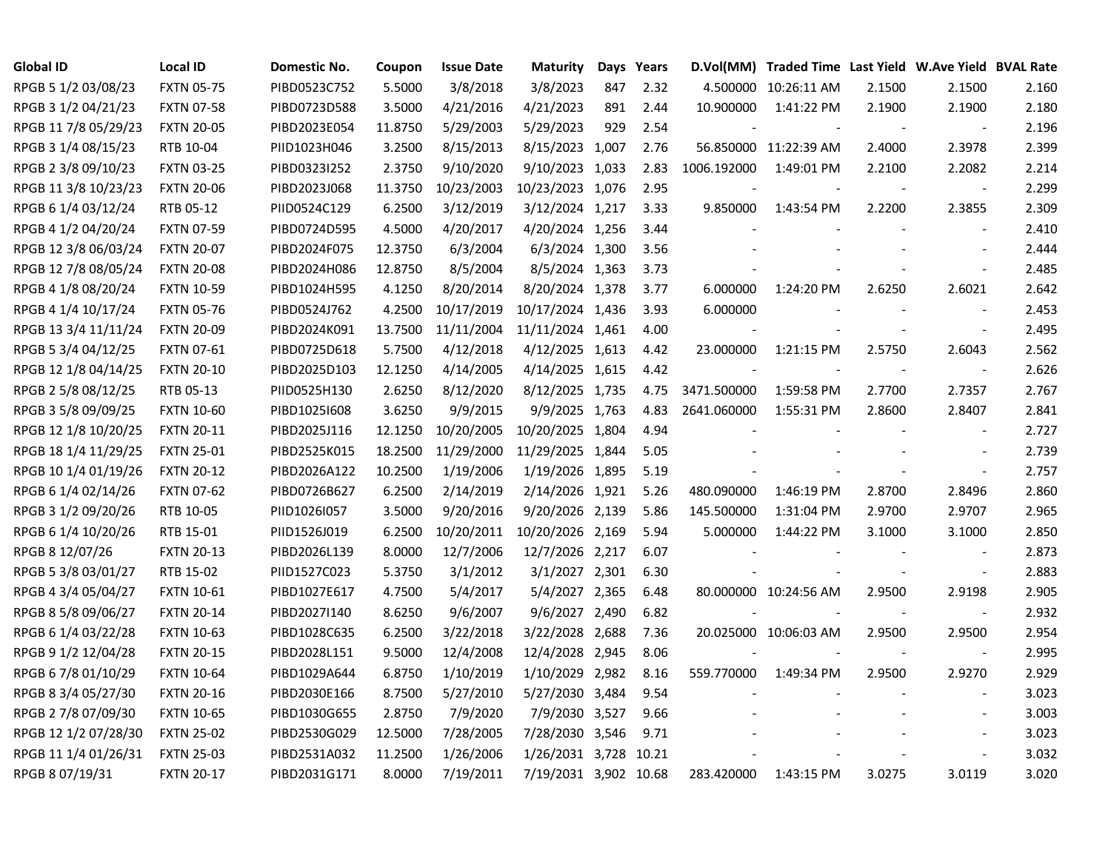| <b>Global ID</b>     | <b>Local ID</b>   | Domestic No. | Coupon  | <b>Issue Date</b> | Maturity              |     | Days Years |             | D.Vol(MM) Traded Time Last Yield W.Ave Yield BVAL Rate |        |                          |       |
|----------------------|-------------------|--------------|---------|-------------------|-----------------------|-----|------------|-------------|--------------------------------------------------------|--------|--------------------------|-------|
| RPGB 5 1/2 03/08/23  | <b>FXTN 05-75</b> | PIBD0523C752 | 5.5000  | 3/8/2018          | 3/8/2023              | 847 | 2.32       |             | 4.500000 10:26:11 AM                                   | 2.1500 | 2.1500                   | 2.160 |
| RPGB 3 1/2 04/21/23  | <b>FXTN 07-58</b> | PIBD0723D588 | 3.5000  | 4/21/2016         | 4/21/2023             | 891 | 2.44       | 10.900000   | 1:41:22 PM                                             | 2.1900 | 2.1900                   | 2.180 |
| RPGB 11 7/8 05/29/23 | <b>FXTN 20-05</b> | PIBD2023E054 | 11.8750 | 5/29/2003         | 5/29/2023             | 929 | 2.54       |             |                                                        |        | $\overline{\phantom{a}}$ | 2.196 |
| RPGB 3 1/4 08/15/23  | RTB 10-04         | PIID1023H046 | 3.2500  | 8/15/2013         | 8/15/2023 1,007       |     | 2.76       |             | 56.850000 11:22:39 AM                                  | 2.4000 | 2.3978                   | 2.399 |
| RPGB 2 3/8 09/10/23  | <b>FXTN 03-25</b> | PIBD0323I252 | 2.3750  | 9/10/2020         | 9/10/2023 1,033       |     | 2.83       | 1006.192000 | 1:49:01 PM                                             | 2.2100 | 2.2082                   | 2.214 |
| RPGB 11 3/8 10/23/23 | <b>FXTN 20-06</b> | PIBD2023J068 | 11.3750 | 10/23/2003        | 10/23/2023 1,076      |     | 2.95       |             |                                                        |        | $\blacksquare$           | 2.299 |
| RPGB 6 1/4 03/12/24  | RTB 05-12         | PIID0524C129 | 6.2500  | 3/12/2019         | 3/12/2024 1,217       |     | 3.33       | 9.850000    | 1:43:54 PM                                             | 2.2200 | 2.3855                   | 2.309 |
| RPGB 4 1/2 04/20/24  | <b>FXTN 07-59</b> | PIBD0724D595 | 4.5000  | 4/20/2017         | 4/20/2024 1,256       |     | 3.44       |             |                                                        |        | $\overline{\phantom{a}}$ | 2.410 |
| RPGB 12 3/8 06/03/24 | <b>FXTN 20-07</b> | PIBD2024F075 | 12.3750 | 6/3/2004          | 6/3/2024 1,300        |     | 3.56       |             |                                                        |        |                          | 2.444 |
| RPGB 12 7/8 08/05/24 | <b>FXTN 20-08</b> | PIBD2024H086 | 12.8750 | 8/5/2004          | 8/5/2024 1,363        |     | 3.73       |             |                                                        |        | $\overline{a}$           | 2.485 |
| RPGB 4 1/8 08/20/24  | <b>FXTN 10-59</b> | PIBD1024H595 | 4.1250  | 8/20/2014         | 8/20/2024 1,378       |     | 3.77       | 6.000000    | 1:24:20 PM                                             | 2.6250 | 2.6021                   | 2.642 |
| RPGB 4 1/4 10/17/24  | <b>FXTN 05-76</b> | PIBD0524J762 | 4.2500  | 10/17/2019        | 10/17/2024 1,436      |     | 3.93       | 6.000000    |                                                        |        | $\sim$                   | 2.453 |
| RPGB 13 3/4 11/11/24 | <b>FXTN 20-09</b> | PIBD2024K091 | 13.7500 | 11/11/2004        | 11/11/2024 1,461      |     | 4.00       |             |                                                        |        | $\overline{\phantom{a}}$ | 2.495 |
| RPGB 5 3/4 04/12/25  | <b>FXTN 07-61</b> | PIBD0725D618 | 5.7500  | 4/12/2018         | 4/12/2025 1,613       |     | 4.42       | 23.000000   | 1:21:15 PM                                             | 2.5750 | 2.6043                   | 2.562 |
| RPGB 12 1/8 04/14/25 | <b>FXTN 20-10</b> | PIBD2025D103 | 12.1250 | 4/14/2005         | 4/14/2025 1,615       |     | 4.42       |             |                                                        |        | $\overline{\phantom{a}}$ | 2.626 |
| RPGB 2 5/8 08/12/25  | RTB 05-13         | PIID0525H130 | 2.6250  | 8/12/2020         | 8/12/2025 1,735       |     | 4.75       | 3471.500000 | 1:59:58 PM                                             | 2.7700 | 2.7357                   | 2.767 |
| RPGB 3 5/8 09/09/25  | <b>FXTN 10-60</b> | PIBD1025I608 | 3.6250  | 9/9/2015          | 9/9/2025 1,763        |     | 4.83       | 2641.060000 | 1:55:31 PM                                             | 2.8600 | 2.8407                   | 2.841 |
| RPGB 12 1/8 10/20/25 | <b>FXTN 20-11</b> | PIBD2025J116 | 12.1250 | 10/20/2005        | 10/20/2025 1,804      |     | 4.94       |             |                                                        |        | $\overline{\phantom{a}}$ | 2.727 |
| RPGB 18 1/4 11/29/25 | <b>FXTN 25-01</b> | PIBD2525K015 | 18.2500 | 11/29/2000        | 11/29/2025 1,844      |     | 5.05       |             |                                                        |        | $\sim$                   | 2.739 |
| RPGB 10 1/4 01/19/26 | <b>FXTN 20-12</b> | PIBD2026A122 | 10.2500 | 1/19/2006         | 1/19/2026 1,895       |     | 5.19       |             |                                                        |        | $\blacksquare$           | 2.757 |
| RPGB 6 1/4 02/14/26  | <b>FXTN 07-62</b> | PIBD0726B627 | 6.2500  | 2/14/2019         | 2/14/2026 1,921       |     | 5.26       | 480.090000  | 1:46:19 PM                                             | 2.8700 | 2.8496                   | 2.860 |
| RPGB 3 1/2 09/20/26  | RTB 10-05         | PIID1026I057 | 3.5000  | 9/20/2016         | 9/20/2026 2,139       |     | 5.86       | 145.500000  | 1:31:04 PM                                             | 2.9700 | 2.9707                   | 2.965 |
| RPGB 6 1/4 10/20/26  | RTB 15-01         | PIID1526J019 | 6.2500  | 10/20/2011        | 10/20/2026 2,169      |     | 5.94       | 5.000000    | 1:44:22 PM                                             | 3.1000 | 3.1000                   | 2.850 |
| RPGB 8 12/07/26      | <b>FXTN 20-13</b> | PIBD2026L139 | 8.0000  | 12/7/2006         | 12/7/2026 2,217       |     | 6.07       |             |                                                        |        | $\blacksquare$           | 2.873 |
| RPGB 5 3/8 03/01/27  | RTB 15-02         | PIID1527C023 | 5.3750  | 3/1/2012          | 3/1/2027 2,301        |     | 6.30       |             |                                                        |        | $\blacksquare$           | 2.883 |
| RPGB 4 3/4 05/04/27  | <b>FXTN 10-61</b> | PIBD1027E617 | 4.7500  | 5/4/2017          | 5/4/2027 2,365        |     | 6.48       |             | 80.000000 10:24:56 AM                                  | 2.9500 | 2.9198                   | 2.905 |
| RPGB 8 5/8 09/06/27  | <b>FXTN 20-14</b> | PIBD2027I140 | 8.6250  | 9/6/2007          | 9/6/2027 2,490        |     | 6.82       |             |                                                        |        | $\sim$                   | 2.932 |
| RPGB 6 1/4 03/22/28  | <b>FXTN 10-63</b> | PIBD1028C635 | 6.2500  | 3/22/2018         | 3/22/2028 2,688       |     | 7.36       |             | 20.025000 10:06:03 AM                                  | 2.9500 | 2.9500                   | 2.954 |
| RPGB 9 1/2 12/04/28  | <b>FXTN 20-15</b> | PIBD2028L151 | 9.5000  | 12/4/2008         | 12/4/2028 2,945       |     | 8.06       |             |                                                        |        | $\overline{\phantom{a}}$ | 2.995 |
| RPGB 6 7/8 01/10/29  | <b>FXTN 10-64</b> | PIBD1029A644 | 6.8750  | 1/10/2019         | 1/10/2029 2,982       |     | 8.16       | 559.770000  | 1:49:34 PM                                             | 2.9500 | 2.9270                   | 2.929 |
| RPGB 8 3/4 05/27/30  | <b>FXTN 20-16</b> | PIBD2030E166 | 8.7500  | 5/27/2010         | 5/27/2030 3,484       |     | 9.54       |             |                                                        |        | $\blacksquare$           | 3.023 |
| RPGB 2 7/8 07/09/30  | <b>FXTN 10-65</b> | PIBD1030G655 | 2.8750  | 7/9/2020          | 7/9/2030 3,527        |     | 9.66       |             |                                                        |        | $\overline{\phantom{a}}$ | 3.003 |
| RPGB 12 1/2 07/28/30 | <b>FXTN 25-02</b> | PIBD2530G029 | 12.5000 | 7/28/2005         | 7/28/2030 3,546       |     | 9.71       |             |                                                        |        | $\blacksquare$           | 3.023 |
| RPGB 11 1/4 01/26/31 | <b>FXTN 25-03</b> | PIBD2531A032 | 11.2500 | 1/26/2006         | 1/26/2031 3,728       |     | 10.21      |             |                                                        |        | $\sim$                   | 3.032 |
| RPGB 8 07/19/31      | <b>FXTN 20-17</b> | PIBD2031G171 | 8.0000  | 7/19/2011         | 7/19/2031 3,902 10.68 |     |            | 283.420000  | 1:43:15 PM                                             | 3.0275 | 3.0119                   | 3.020 |